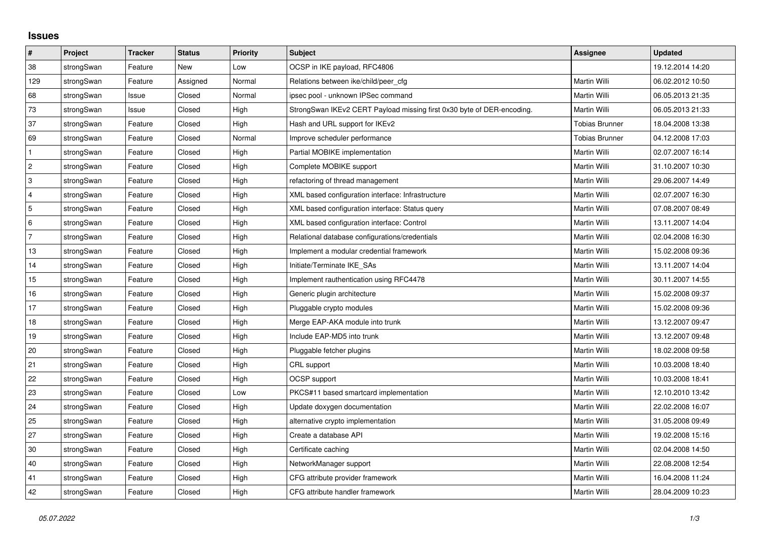## **Issues**

| #              | Project    | <b>Tracker</b> | <b>Status</b> | <b>Priority</b> | <b>Subject</b>                                                         | Assignee              | <b>Updated</b>   |
|----------------|------------|----------------|---------------|-----------------|------------------------------------------------------------------------|-----------------------|------------------|
| 38             | strongSwan | Feature        | <b>New</b>    | Low             | OCSP in IKE payload, RFC4806                                           |                       | 19.12.2014 14:20 |
| 129            | strongSwan | Feature        | Assigned      | Normal          | Relations between ike/child/peer cfg                                   | Martin Willi          | 06.02.2012 10:50 |
| 68             | strongSwan | Issue          | Closed        | Normal          | ipsec pool - unknown IPSec command                                     | Martin Willi          | 06.05.2013 21:35 |
| 73             | strongSwan | Issue          | Closed        | High            | StrongSwan IKEv2 CERT Payload missing first 0x30 byte of DER-encoding. | Martin Willi          | 06.05.2013 21:33 |
| 37             | strongSwan | Feature        | Closed        | High            | Hash and URL support for IKEv2                                         | <b>Tobias Brunner</b> | 18.04.2008 13:38 |
| 69             | strongSwan | Feature        | Closed        | Normal          | Improve scheduler performance                                          | <b>Tobias Brunner</b> | 04.12.2008 17:03 |
| $\mathbf{1}$   | strongSwan | Feature        | Closed        | High            | Partial MOBIKE implementation                                          | Martin Willi          | 02.07.2007 16:14 |
| $\overline{2}$ | strongSwan | Feature        | Closed        | High            | Complete MOBIKE support                                                | Martin Willi          | 31.10.2007 10:30 |
| 3              | strongSwan | Feature        | Closed        | High            | refactoring of thread management                                       | Martin Willi          | 29.06.2007 14:49 |
| $\overline{4}$ | strongSwan | Feature        | Closed        | High            | XML based configuration interface: Infrastructure                      | Martin Willi          | 02.07.2007 16:30 |
| 5              | strongSwan | Feature        | Closed        | High            | XML based configuration interface: Status query                        | Martin Willi          | 07.08.2007 08:49 |
| 6              | strongSwan | Feature        | Closed        | High            | XML based configuration interface: Control                             | Martin Willi          | 13.11.2007 14:04 |
| $\overline{7}$ | strongSwan | Feature        | Closed        | High            | Relational database configurations/credentials                         | Martin Willi          | 02.04.2008 16:30 |
| 13             | strongSwan | Feature        | Closed        | High            | Implement a modular credential framework                               | Martin Willi          | 15.02.2008 09:36 |
| 14             | strongSwan | Feature        | Closed        | High            | Initiate/Terminate IKE SAs                                             | Martin Willi          | 13.11.2007 14:04 |
| 15             | strongSwan | Feature        | Closed        | High            | Implement rauthentication using RFC4478                                | <b>Martin Willi</b>   | 30.11.2007 14:55 |
| 16             | strongSwan | Feature        | Closed        | High            | Generic plugin architecture                                            | Martin Willi          | 15.02.2008 09:37 |
| 17             | strongSwan | Feature        | Closed        | High            | Pluggable crypto modules                                               | Martin Willi          | 15.02.2008 09:36 |
| 18             | strongSwan | Feature        | Closed        | High            | Merge EAP-AKA module into trunk                                        | Martin Willi          | 13.12.2007 09:47 |
| 19             | strongSwan | Feature        | Closed        | High            | Include EAP-MD5 into trunk                                             | Martin Willi          | 13.12.2007 09:48 |
| 20             | strongSwan | Feature        | Closed        | High            | Pluggable fetcher plugins                                              | Martin Willi          | 18.02.2008 09:58 |
| 21             | strongSwan | Feature        | Closed        | High            | CRL support                                                            | Martin Willi          | 10.03.2008 18:40 |
| 22             | strongSwan | Feature        | Closed        | High            | <b>OCSP</b> support                                                    | Martin Willi          | 10.03.2008 18:41 |
| 23             | strongSwan | Feature        | Closed        | Low             | PKCS#11 based smartcard implementation                                 | Martin Willi          | 12.10.2010 13:42 |
| 24             | strongSwan | Feature        | Closed        | High            | Update doxygen documentation                                           | Martin Willi          | 22.02.2008 16:07 |
| 25             | strongSwan | Feature        | Closed        | High            | alternative crypto implementation                                      | Martin Willi          | 31.05.2008 09:49 |
| 27             | strongSwan | Feature        | Closed        | High            | Create a database API                                                  | Martin Willi          | 19.02.2008 15:16 |
| 30             | strongSwan | Feature        | Closed        | High            | Certificate caching                                                    | Martin Willi          | 02.04.2008 14:50 |
| 40             | strongSwan | Feature        | Closed        | High            | NetworkManager support                                                 | Martin Willi          | 22.08.2008 12:54 |
| 41             | strongSwan | Feature        | Closed        | High            | CFG attribute provider framework                                       | Martin Willi          | 16.04.2008 11:24 |
| 42             | strongSwan | Feature        | Closed        | High            | CFG attribute handler framework                                        | <b>Martin Willi</b>   | 28.04.2009 10:23 |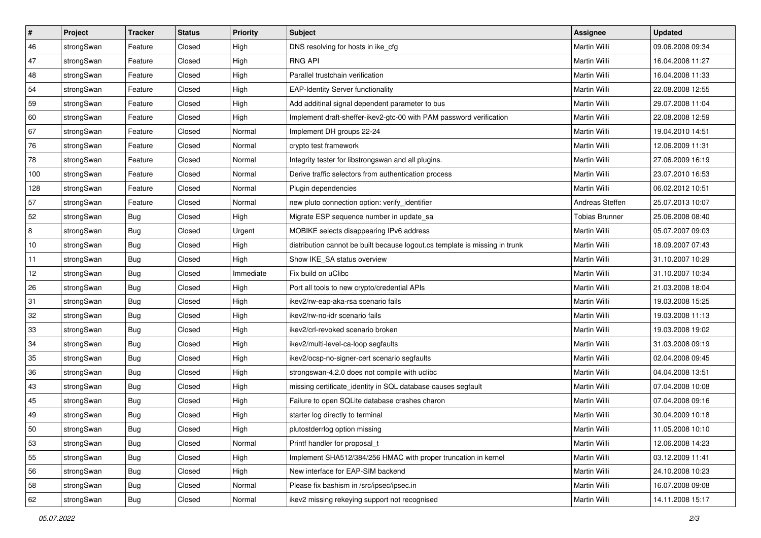| $\vert$ # | Project    | <b>Tracker</b> | <b>Status</b> | <b>Priority</b> | <b>Subject</b>                                                              | <b>Assignee</b>       | <b>Updated</b>   |
|-----------|------------|----------------|---------------|-----------------|-----------------------------------------------------------------------------|-----------------------|------------------|
| 46        | strongSwan | Feature        | Closed        | High            | DNS resolving for hosts in ike_cfg                                          | Martin Willi          | 09.06.2008 09:34 |
| 47        | strongSwan | Feature        | Closed        | High            | <b>RNG API</b>                                                              | <b>Martin Willi</b>   | 16.04.2008 11:27 |
| 48        | strongSwan | Feature        | Closed        | High            | Parallel trustchain verification                                            | Martin Willi          | 16.04.2008 11:33 |
| 54        | strongSwan | Feature        | Closed        | High            | <b>EAP-Identity Server functionality</b>                                    | Martin Willi          | 22.08.2008 12:55 |
| 59        | strongSwan | Feature        | Closed        | High            | Add additinal signal dependent parameter to bus                             | Martin Willi          | 29.07.2008 11:04 |
| 60        | strongSwan | Feature        | Closed        | High            | Implement draft-sheffer-ikev2-gtc-00 with PAM password verification         | Martin Willi          | 22.08.2008 12:59 |
| 67        | strongSwan | Feature        | Closed        | Normal          | Implement DH groups 22-24                                                   | Martin Willi          | 19.04.2010 14:51 |
| 76        | strongSwan | Feature        | Closed        | Normal          | crypto test framework                                                       | Martin Willi          | 12.06.2009 11:31 |
| 78        | strongSwan | Feature        | Closed        | Normal          | Integrity tester for libstrongswan and all plugins.                         | Martin Willi          | 27.06.2009 16:19 |
| 100       | strongSwan | Feature        | Closed        | Normal          | Derive traffic selectors from authentication process                        | Martin Willi          | 23.07.2010 16:53 |
| 128       | strongSwan | Feature        | Closed        | Normal          | Plugin dependencies                                                         | Martin Willi          | 06.02.2012 10:51 |
| 57        | strongSwan | Feature        | Closed        | Normal          | new pluto connection option: verify_identifier                              | Andreas Steffen       | 25.07.2013 10:07 |
| 52        | strongSwan | Bug            | Closed        | High            | Migrate ESP sequence number in update_sa                                    | <b>Tobias Brunner</b> | 25.06.2008 08:40 |
| 8         | strongSwan | Bug            | Closed        | Urgent          | MOBIKE selects disappearing IPv6 address                                    | Martin Willi          | 05.07.2007 09:03 |
| 10        | strongSwan | Bug            | Closed        | High            | distribution cannot be built because logout.cs template is missing in trunk | Martin Willi          | 18.09.2007 07:43 |
| 11        | strongSwan | <b>Bug</b>     | Closed        | High            | Show IKE_SA status overview                                                 | Martin Willi          | 31.10.2007 10:29 |
| 12        | strongSwan | <b>Bug</b>     | Closed        | Immediate       | Fix build on uClibc                                                         | <b>Martin Willi</b>   | 31.10.2007 10:34 |
| 26        | strongSwan | Bug            | Closed        | High            | Port all tools to new crypto/credential APIs                                | Martin Willi          | 21.03.2008 18:04 |
| 31        | strongSwan | <b>Bug</b>     | Closed        | High            | ikev2/rw-eap-aka-rsa scenario fails                                         | Martin Willi          | 19.03.2008 15:25 |
| 32        | strongSwan | Bug            | Closed        | High            | ikev2/rw-no-idr scenario fails                                              | Martin Willi          | 19.03.2008 11:13 |
| 33        | strongSwan | <b>Bug</b>     | Closed        | High            | ikev2/crl-revoked scenario broken                                           | Martin Willi          | 19.03.2008 19:02 |
| 34        | strongSwan | <b>Bug</b>     | Closed        | High            | ikev2/multi-level-ca-loop segfaults                                         | Martin Willi          | 31.03.2008 09:19 |
| 35        | strongSwan | Bug            | Closed        | High            | ikev2/ocsp-no-signer-cert scenario segfaults                                | Martin Willi          | 02.04.2008 09:45 |
| 36        | strongSwan | <b>Bug</b>     | Closed        | High            | strongswan-4.2.0 does not compile with uclibc                               | Martin Willi          | 04.04.2008 13:51 |
| 43        | strongSwan | <b>Bug</b>     | Closed        | High            | missing certificate_identity in SQL database causes segfault                | Martin Willi          | 07.04.2008 10:08 |
| 45        | strongSwan | <b>Bug</b>     | Closed        | High            | Failure to open SQLite database crashes charon                              | Martin Willi          | 07.04.2008 09:16 |
| 49        | strongSwan | Bug            | Closed        | High            | starter log directly to terminal                                            | Martin Willi          | 30.04.2009 10:18 |
| 50        | strongSwan | Bug            | Closed        | High            | plutostderrlog option missing                                               | Martin Willi          | 11.05.2008 10:10 |
| 53        | strongSwan | Bug            | Closed        | Normal          | Printf handler for proposal t                                               | Martin Willi          | 12.06.2008 14:23 |
| 55        | strongSwan | Bug            | Closed        | High            | Implement SHA512/384/256 HMAC with proper truncation in kernel              | Martin Willi          | 03.12.2009 11:41 |
| 56        | strongSwan | Bug            | Closed        | High            | New interface for EAP-SIM backend                                           | Martin Willi          | 24.10.2008 10:23 |
| 58        | strongSwan | Bug            | Closed        | Normal          | Please fix bashism in /src/ipsec/ipsec.in                                   | Martin Willi          | 16.07.2008 09:08 |
| 62        | strongSwan | <b>Bug</b>     | Closed        | Normal          | ikev2 missing rekeying support not recognised                               | Martin Willi          | 14.11.2008 15:17 |